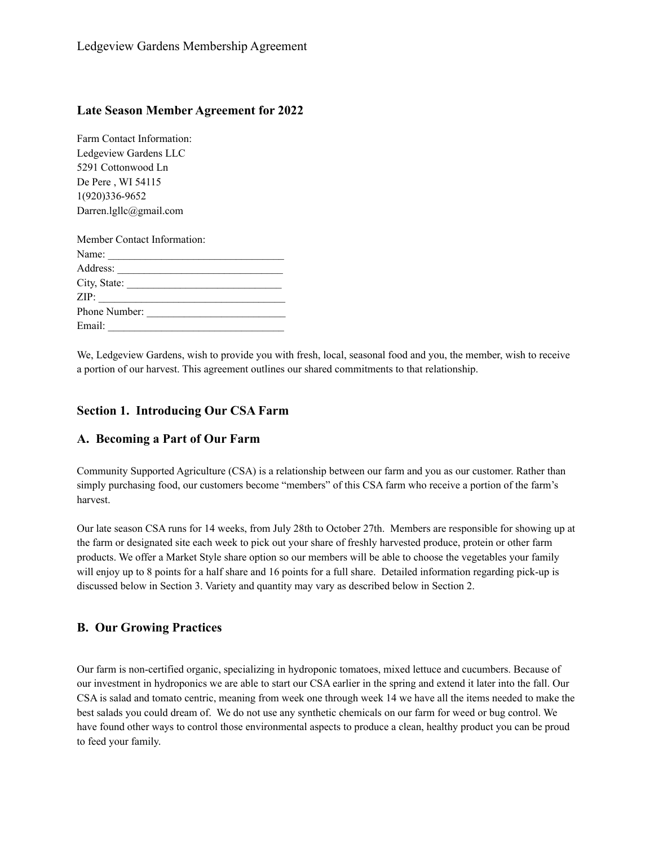#### **Late Season Member Agreement for 2022**

Farm Contact Information: Ledgeview Gardens LLC 5291 Cottonwood Ln De Pere , WI 54115 1(920)336-9652 Darren.lgllc@gmail.com

| Member Contact Information: |               |
|-----------------------------|---------------|
|                             | Name:         |
|                             |               |
|                             | City, State:  |
|                             | ZIP:          |
|                             | Phone Number: |
| Email:                      |               |

We, Ledgeview Gardens, wish to provide you with fresh, local, seasonal food and you, the member, wish to receive a portion of our harvest. This agreement outlines our shared commitments to that relationship.

#### **Section 1. Introducing Our CSA Farm**

#### **A. Becoming a Part of Our Farm**

Community Supported Agriculture (CSA) is a relationship between our farm and you as our customer. Rather than simply purchasing food, our customers become "members" of this CSA farm who receive a portion of the farm's harvest.

Our late season CSA runs for 14 weeks, from July 28th to October 27th. Members are responsible for showing up at the farm or designated site each week to pick out your share of freshly harvested produce, protein or other farm products. We offer a Market Style share option so our members will be able to choose the vegetables your family will enjoy up to 8 points for a half share and 16 points for a full share. Detailed information regarding pick-up is discussed below in Section 3. Variety and quantity may vary as described below in Section 2.

#### **B. Our Growing Practices**

Our farm is non-certified organic, specializing in hydroponic tomatoes, mixed lettuce and cucumbers. Because of our investment in hydroponics we are able to start our CSA earlier in the spring and extend it later into the fall. Our CSA is salad and tomato centric, meaning from week one through week 14 we have all the items needed to make the best salads you could dream of. We do not use any synthetic chemicals on our farm for weed or bug control. We have found other ways to control those environmental aspects to produce a clean, healthy product you can be proud to feed your family.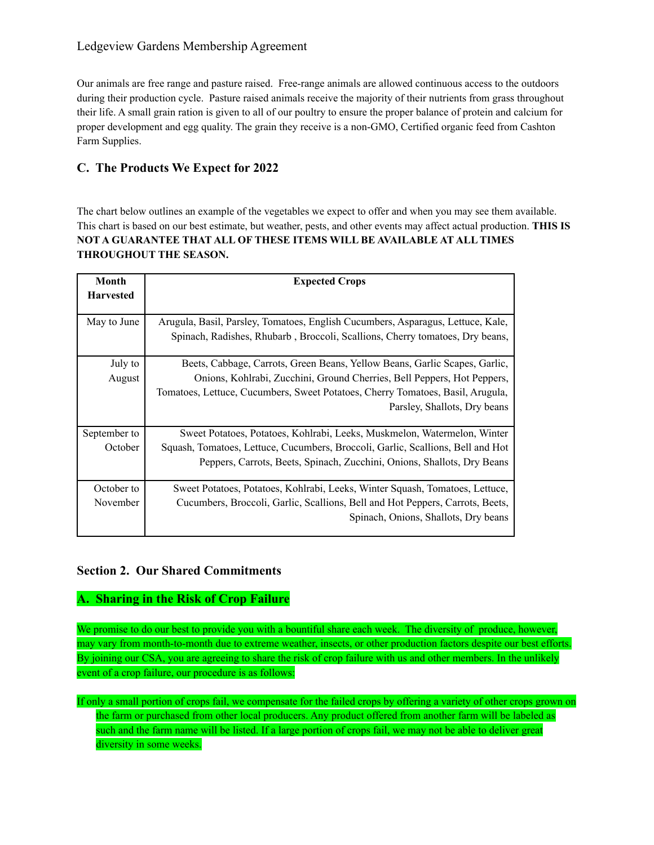### Ledgeview Gardens Membership Agreement

Our animals are free range and pasture raised. Free-range animals are allowed continuous access to the outdoors during their production cycle. Pasture raised animals receive the majority of their nutrients from grass throughout their life. A small grain ration is given to all of our poultry to ensure the proper balance of protein and calcium for proper development and egg quality. The grain they receive is a non-GMO, Certified organic feed from Cashton Farm Supplies.

# **C. The Products We Expect for 2022**

The chart below outlines an example of the vegetables we expect to offer and when you may see them available. This chart is based on our best estimate, but weather, pests, and other events may affect actual production. **THIS IS NOT A GUARANTEE THAT ALL OF THESE ITEMS WILL BE AVAILABLE AT ALL TIMES THROUGHOUT THE SEASON.**

| Month            | <b>Expected Crops</b>                                                                                                                                           |
|------------------|-----------------------------------------------------------------------------------------------------------------------------------------------------------------|
| <b>Harvested</b> |                                                                                                                                                                 |
| May to June      | Arugula, Basil, Parsley, Tomatoes, English Cucumbers, Asparagus, Lettuce, Kale,<br>Spinach, Radishes, Rhubarb, Broccoli, Scallions, Cherry tomatoes, Dry beans, |
| July to          | Beets, Cabbage, Carrots, Green Beans, Yellow Beans, Garlic Scapes, Garlic,                                                                                      |
| August           | Onions, Kohlrabi, Zucchini, Ground Cherries, Bell Peppers, Hot Peppers,                                                                                         |
|                  | Tomatoes, Lettuce, Cucumbers, Sweet Potatoes, Cherry Tomatoes, Basil, Arugula,                                                                                  |
|                  | Parsley, Shallots, Dry beans                                                                                                                                    |
| September to     | Sweet Potatoes, Potatoes, Kohlrabi, Leeks, Muskmelon, Watermelon, Winter                                                                                        |
| October          | Squash, Tomatoes, Lettuce, Cucumbers, Broccoli, Garlic, Scallions, Bell and Hot                                                                                 |
|                  | Peppers, Carrots, Beets, Spinach, Zucchini, Onions, Shallots, Dry Beans                                                                                         |
| October to       | Sweet Potatoes, Potatoes, Kohlrabi, Leeks, Winter Squash, Tomatoes, Lettuce,                                                                                    |
| November         | Cucumbers, Broccoli, Garlic, Scallions, Bell and Hot Peppers, Carrots, Beets,                                                                                   |
|                  | Spinach, Onions, Shallots, Dry beans                                                                                                                            |

## **Section 2. Our Shared Commitments**

## **A. Sharing in the Risk of Crop Failure**

We promise to do our best to provide you with a bountiful share each week. The diversity of produce, however, may vary from month-to-month due to extreme weather, insects, or other production factors despite our best efforts. By joining our CSA, you are agreeing to share the risk of crop failure with us and other members. In the unlikely event of a crop failure, our procedure is as follows:

If only a small portion of crops fail, we compensate for the failed crops by offering a variety of other crops grown on the farm or purchased from other local producers. Any product offered from another farm will be labeled as such and the farm name will be listed. If a large portion of crops fail, we may not be able to deliver great diversity in some weeks.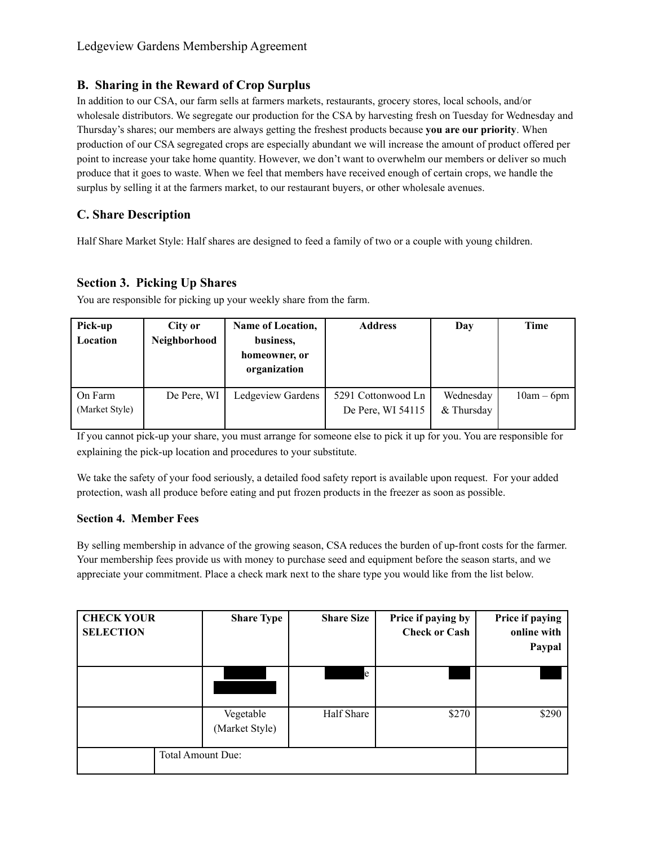## **B. Sharing in the Reward of Crop Surplus**

In addition to our CSA, our farm sells at farmers markets, restaurants, grocery stores, local schools, and/or wholesale distributors. We segregate our production for the CSA by harvesting fresh on Tuesday for Wednesday and Thursday's shares; our members are always getting the freshest products because **you are our priority**. When production of our CSA segregated crops are especially abundant we will increase the amount of product offered per point to increase your take home quantity. However, we don't want to overwhelm our members or deliver so much produce that it goes to waste. When we feel that members have received enough of certain crops, we handle the surplus by selling it at the farmers market, to our restaurant buyers, or other wholesale avenues.

# **C. Share Description**

Half Share Market Style: Half shares are designed to feed a family of two or a couple with young children.

## **Section 3. Picking Up Shares**

You are responsible for picking up your weekly share from the farm.

| Pick-up        | City or      | <b>Name of Location,</b>      | <b>Address</b>     | Day        | Time         |
|----------------|--------------|-------------------------------|--------------------|------------|--------------|
| Location       | Neighborhood | business,                     |                    |            |              |
|                |              | homeowner, or<br>organization |                    |            |              |
|                |              |                               |                    |            |              |
| On Farm        | De Pere, WI  | Ledgeview Gardens             | 5291 Cottonwood Ln | Wednesday  | $10am - 6pm$ |
| (Market Style) |              |                               | De Pere, WI 54115  | & Thursday |              |
|                |              |                               |                    |            |              |

If you cannot pick-up your share, you must arrange for someone else to pick it up for you. You are responsible for explaining the pick-up location and procedures to your substitute.

We take the safety of your food seriously, a detailed food safety report is available upon request. For your added protection, wash all produce before eating and put frozen products in the freezer as soon as possible.

#### **Section 4. Member Fees**

By selling membership in advance of the growing season, CSA reduces the burden of up-front costs for the farmer. Your membership fees provide us with money to purchase seed and equipment before the season starts, and we appreciate your commitment. Place a check mark next to the share type you would like from the list below.

| <b>CHECK YOUR</b><br><b>SELECTION</b> | <b>Share Type</b>           | <b>Share Size</b> | Price if paying by<br><b>Check or Cash</b> | Price if paying<br>online with<br>Paypal |
|---------------------------------------|-----------------------------|-------------------|--------------------------------------------|------------------------------------------|
|                                       |                             | e                 |                                            |                                          |
|                                       | Vegetable<br>(Market Style) | Half Share        | \$270                                      | \$290                                    |
|                                       | Total Amount Due:           |                   |                                            |                                          |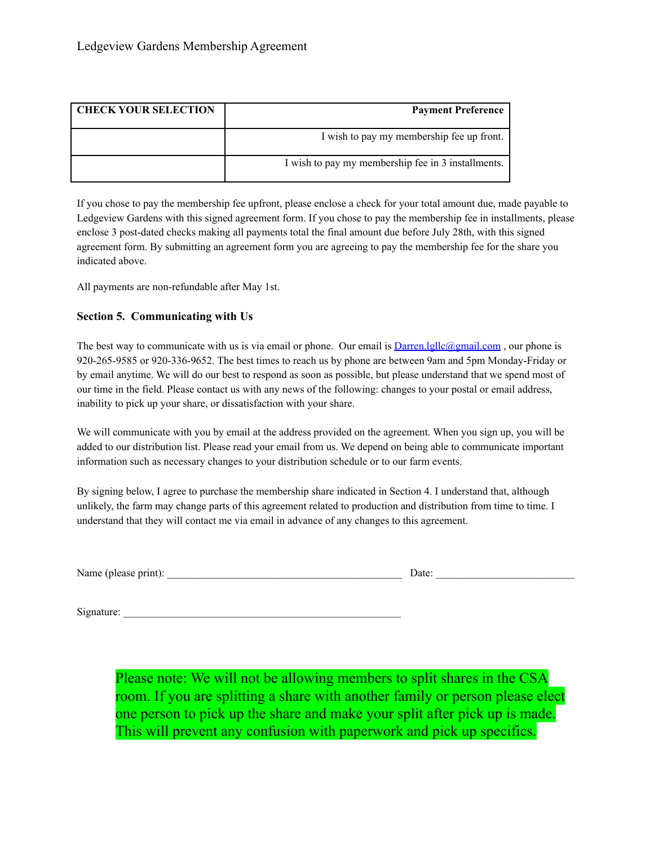| <b>CHECK YOUR SELECTION</b> | <b>Payment Preference</b>                          |
|-----------------------------|----------------------------------------------------|
|                             | I wish to pay my membership fee up front.          |
|                             | I wish to pay my membership fee in 3 installments. |

If you chose to pay the membership fee upfront, please enclose a check for your total amount due, made payable to Ledgeview Gardens with this signed agreement form. If you chose to pay the membership fee in installments, please enclose 3 post-dated checks making all payments total the final amount due before July 28th, with this signed agreement form. By submitting an agreement form you are agreeing to pay the membership fee for the share you indicated above.

All payments are non-refundable after May 1st.

#### **Section 5. Communicating with Us**

The best way to communicate with us is via email or phone. Our email is  $Darren. \text{Igllc@gmail.com}$ , our phone is 920-265-9585 or 920-336-9652. The best times to reach us by phone are between 9am and 5pm Monday-Friday or by email anytime. We will do our best to respond as soon as possible, but please understand that we spend most of our time in the field. Please contact us with any news of the following: changes to your postal or email address, inability to pick up your share, or dissatisfaction with your share.

We will communicate with you by email at the address provided on the agreement. When you sign up, you will be added to our distribution list. Please read your email from us. We depend on being able to communicate important information such as necessary changes to your distribution schedule or to our farm events.

By signing below, I agree to purchase the membership share indicated in Section 4. I understand that, although unlikely, the farm may change parts of this agreement related to production and distribution from time to time. I understand that they will contact me via email in advance of any changes to this agreement.

Name (please print): \_\_\_\_\_\_\_\_\_\_\_\_\_\_\_\_\_\_\_\_\_\_\_\_\_\_\_\_\_\_\_\_\_\_\_\_\_\_\_\_\_\_\_\_ Date: \_\_\_\_\_\_\_\_\_\_\_\_\_\_\_\_\_\_\_\_\_\_\_\_\_\_

Signature:

Please note: We will not be allowing members to split shares in the CSA room. If you are splitting a share with another family or person please elect one person to pick up the share and make your split after pick up is made. This will prevent any confusion with paperwork and pick up specifics.